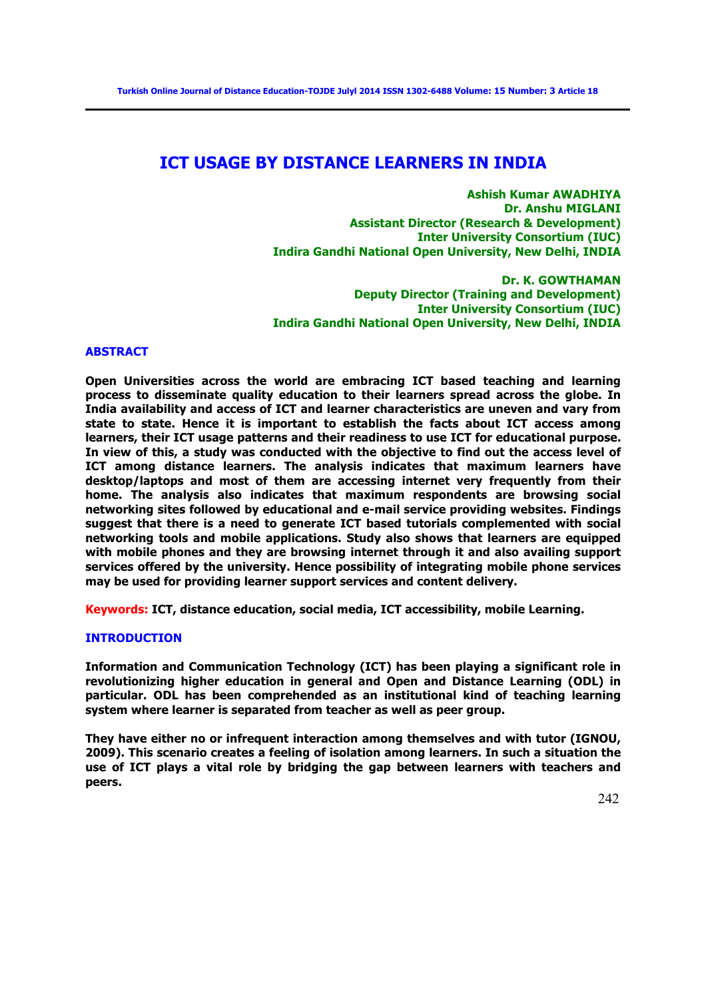# **ICT USAGE BY DISTANCE LEARNERS IN INDIA**

**Ashish Kumar AWADHIYA Dr. Anshu MIGLANI Assistant Director (Research & Development) Inter University Consortium (IUC) Indira Gandhi National Open University, New Delhi, INDIA**

**Dr. K. GOWTHAMAN Deputy Director (Training and Development) Inter University Consortium (IUC) Indira Gandhi National Open University, New Delhi, INDIA**

#### **ABSTRACT**

**Open Universities across the world are embracing ICT based teaching and learning process to disseminate quality education to their learners spread across the globe. In India availability and access of ICT and learner characteristics are uneven and vary from state to state. Hence it is important to establish the facts about ICT access among learners, their ICT usage patterns and their readiness to use ICT for educational purpose. In view of this, a study was conducted with the objective to find out the access level of ICT among distance learners. The analysis indicates that maximum learners have desktop/laptops and most of them are accessing internet very frequently from their home. The analysis also indicates that maximum respondents are browsing social networking sites followed by educational and e-mail service providing websites. Findings suggest that there is a need to generate ICT based tutorials complemented with social networking tools and mobile applications. Study also shows that learners are equipped with mobile phones and they are browsing internet through it and also availing support services offered by the university. Hence possibility of integrating mobile phone services may be used for providing learner support services and content delivery.** 

**Keywords: ICT, distance education, social media, ICT accessibility, mobile Learning.**

# **INTRODUCTION**

**Information and Communication Technology (ICT) has been playing a significant role in revolutionizing higher education in general and Open and Distance Learning (ODL) in particular. ODL has been comprehended as an institutional kind of teaching learning system where learner is separated from teacher as well as peer group.** 

**They have either no or infrequent interaction among themselves and with tutor (IGNOU, 2009). This scenario creates a feeling of isolation among learners. In such a situation the use of ICT plays a vital role by bridging the gap between learners with teachers and peers.**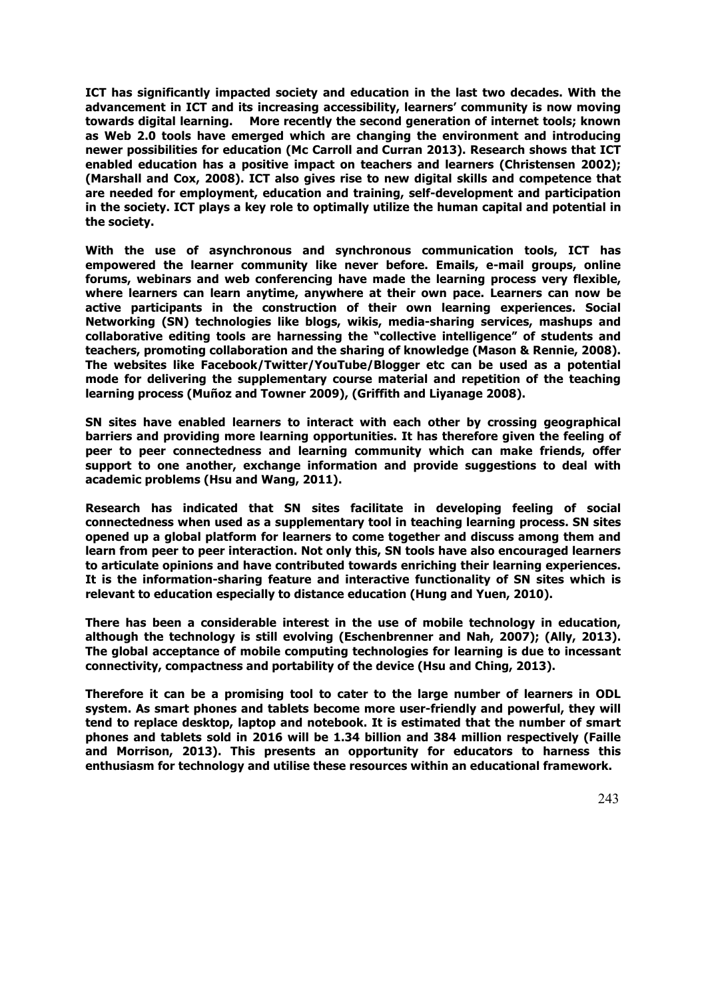**ICT has significantly impacted society and education in the last two decades. With the advancement in ICT and its increasing accessibility, learners' community is now moving towards digital learning. More recently the second generation of internet tools; known as Web 2.0 tools have emerged which are changing the environment and introducing newer possibilities for education (Mc Carroll and Curran 2013). Research shows that ICT enabled education has a positive impact on teachers and learners (Christensen 2002); (Marshall and Cox, 2008). ICT also gives rise to new digital skills and competence that are needed for employment, education and training, self-development and participation in the society. ICT plays a key role to optimally utilize the human capital and potential in the society.** 

**With the use of asynchronous and synchronous communication tools, ICT has empowered the learner community like never before. Emails, e-mail groups, online forums, webinars and web conferencing have made the learning process very flexible, where learners can learn anytime, anywhere at their own pace. Learners can now be active participants in the construction of their own learning experiences. Social Networking (SN) technologies like blogs, wikis, media-sharing services, mashups and collaborative editing tools are harnessing the "collective intelligence" of students and teachers, promoting collaboration and the sharing of knowledge (Mason & Rennie, 2008). The websites like Facebook/Twitter/YouTube/Blogger etc can be used as a potential mode for delivering the supplementary course material and repetition of the teaching learning process (Muñoz and Towner 2009), (Griffith and Liyanage 2008).** 

**SN sites have enabled learners to interact with each other by crossing geographical barriers and providing more learning opportunities. It has therefore given the feeling of peer to peer connectedness and learning community which can make friends, offer support to one another, exchange information and provide suggestions to deal with academic problems (Hsu and Wang, 2011).** 

**Research has indicated that SN sites facilitate in developing feeling of social connectedness when used as a supplementary tool in teaching learning process. SN sites opened up a global platform for learners to come together and discuss among them and learn from peer to peer interaction. Not only this, SN tools have also encouraged learners to articulate opinions and have contributed towards enriching their learning experiences. It is the information-sharing feature and interactive functionality of SN sites which is relevant to education especially to distance education (Hung and Yuen, 2010).** 

**There has been a considerable interest in the use of mobile technology in education, although the technology is still evolving (Eschenbrenner and Nah, 2007); (Ally, 2013). The global acceptance of mobile computing technologies for learning is due to incessant connectivity, compactness and portability of the device (Hsu and Ching, 2013).** 

**Therefore it can be a promising tool to cater to the large number of learners in ODL system. As smart phones and tablets become more user-friendly and powerful, they will tend to replace desktop, laptop and notebook. It is estimated that the number of smart phones and tablets sold in 2016 will be 1.34 billion and 384 million respectively (Faille and Morrison, 2013). This presents an opportunity for educators to harness this enthusiasm for technology and utilise these resources within an educational framework.**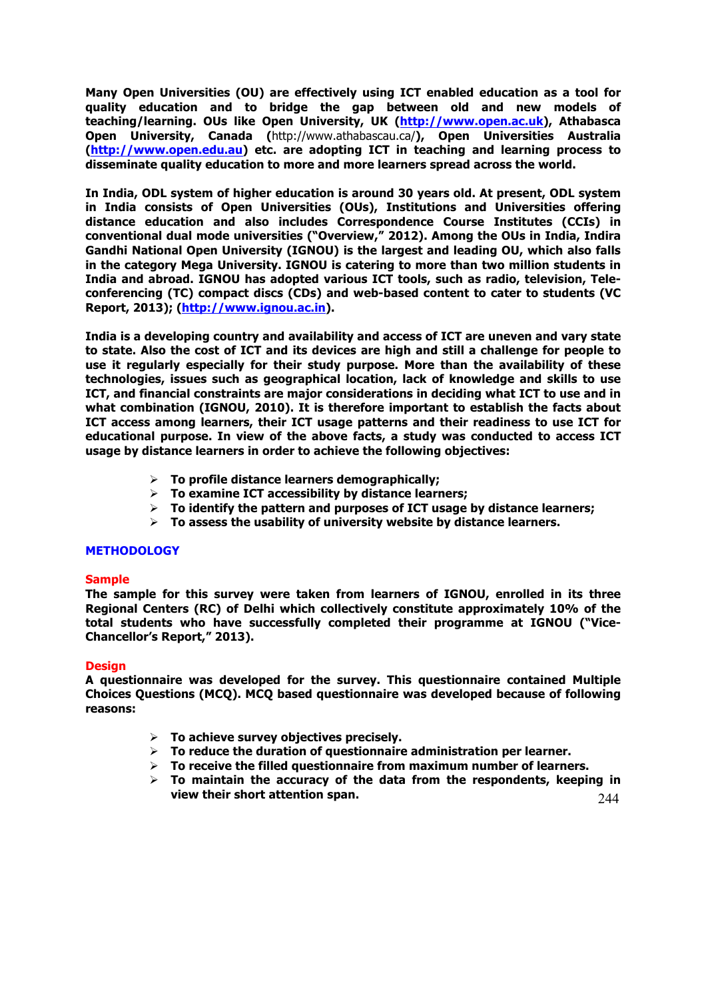**Many Open Universities (OU) are effectively using ICT enabled education as a tool for quality education and to bridge the gap between old and new models of teaching/learning. OUs like Open University, UK (http://www.open.ac.uk), Athabasca Open University, Canada (**http://www.athabascau.ca/**), Open Universities Australia (http://www.open.edu.au) etc. are adopting ICT in teaching and learning process to disseminate quality education to more and more learners spread across the world.**

**In India, ODL system of higher education is around 30 years old. At present, ODL system in India consists of Open Universities (OUs), Institutions and Universities offering distance education and also includes Correspondence Course Institutes (CCIs) in conventional dual mode universities ("Overview," 2012). Among the OUs in India, Indira Gandhi National Open University (IGNOU) is the largest and leading OU, which also falls in the category Mega University. IGNOU is catering to more than two million students in India and abroad. IGNOU has adopted various ICT tools, such as radio, television, Teleconferencing (TC) compact discs (CDs) and web-based content to cater to students (VC Report, 2013); (http://www.ignou.ac.in).**

**India is a developing country and availability and access of ICT are uneven and vary state to state. Also the cost of ICT and its devices are high and still a challenge for people to use it regularly especially for their study purpose. More than the availability of these technologies, issues such as geographical location, lack of knowledge and skills to use ICT, and financial constraints are major considerations in deciding what ICT to use and in what combination (IGNOU, 2010). It is therefore important to establish the facts about ICT access among learners, their ICT usage patterns and their readiness to use ICT for educational purpose. In view of the above facts, a study was conducted to access ICT usage by distance learners in order to achieve the following objectives:**

- Ø **To profile distance learners demographically;**
- Ø **To examine ICT accessibility by distance learners;**
- Ø **To identify the pattern and purposes of ICT usage by distance learners;**
- Ø **To assess the usability of university website by distance learners.**

## **METHODOLOGY**

## **Sample**

**The sample for this survey were taken from learners of IGNOU, enrolled in its three Regional Centers (RC) of Delhi which collectively constitute approximately 10% of the total students who have successfully completed their programme at IGNOU ("Vice-Chancellor's Report," 2013).**

## **Design**

**A questionnaire was developed for the survey. This questionnaire contained Multiple Choices Questions (MCQ). MCQ based questionnaire was developed because of following reasons:**

- Ø **To achieve survey objectives precisely.**
- Ø **To reduce the duration of questionnaire administration per learner.**
- Ø **To receive the filled questionnaire from maximum number of learners.**
- 244 Ø **To maintain the accuracy of the data from the respondents, keeping in view their short attention span.**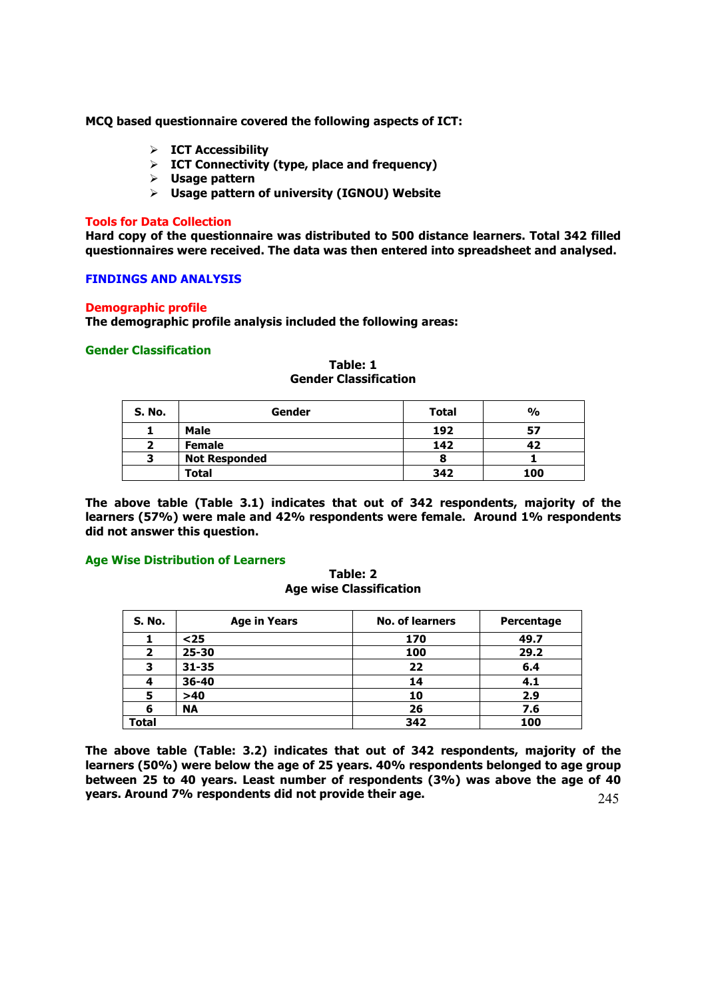**MCQ based questionnaire covered the following aspects of ICT:**

- Ø **ICT Accessibility**
- Ø **ICT Connectivity (type, place and frequency)**
- Ø **Usage pattern**
- Ø **Usage pattern of university (IGNOU) Website**

#### **Tools for Data Collection**

**Hard copy of the questionnaire was distributed to 500 distance learners. Total 342 filled questionnaires were received. The data was then entered into spreadsheet and analysed.**

## **FINDINGS AND ANALYSIS**

#### **Demographic profile**

**The demographic profile analysis included the following areas:**

## **Gender Classification**

| S. No. | Gender               | <b>Total</b> | $\frac{0}{0}$ |
|--------|----------------------|--------------|---------------|
|        | <b>Male</b>          | 192          | 57            |
| ,      | <b>Female</b>        | 142          | 42            |
| 3      | <b>Not Responded</b> |              |               |
|        | Total                | 342          | 100           |

**Table: 1 Gender Classification**

**The above table (Table 3.1) indicates that out of 342 respondents, majority of the learners (57%) were male and 42% respondents were female. Around 1% respondents did not answer this question.**

#### **Age Wise Distribution of Learners**

## **Table: 2 Age wise Classification**

| S. No. | <b>Age in Years</b> | <b>No. of learners</b> | Percentage |
|--------|---------------------|------------------------|------------|
|        | $25$                | 170                    | 49.7       |
| 2      | $25 - 30$           | 100                    | 29.2       |
| 3      | $31 - 35$           | 22                     | 6.4        |
| 4      | 36-40               | 14                     | 4.1        |
| 5      | >40                 | 10                     | 2.9        |
| 6      | <b>NA</b>           | 26                     | 7.6        |
| Total  |                     | 342                    | 100        |

245 **The above table (Table: 3.2) indicates that out of 342 respondents, majority of the learners (50%) were below the age of 25 years. 40% respondents belonged to age group between 25 to 40 years. Least number of respondents (3%) was above the age of 40 years. Around 7% respondents did not provide their age.**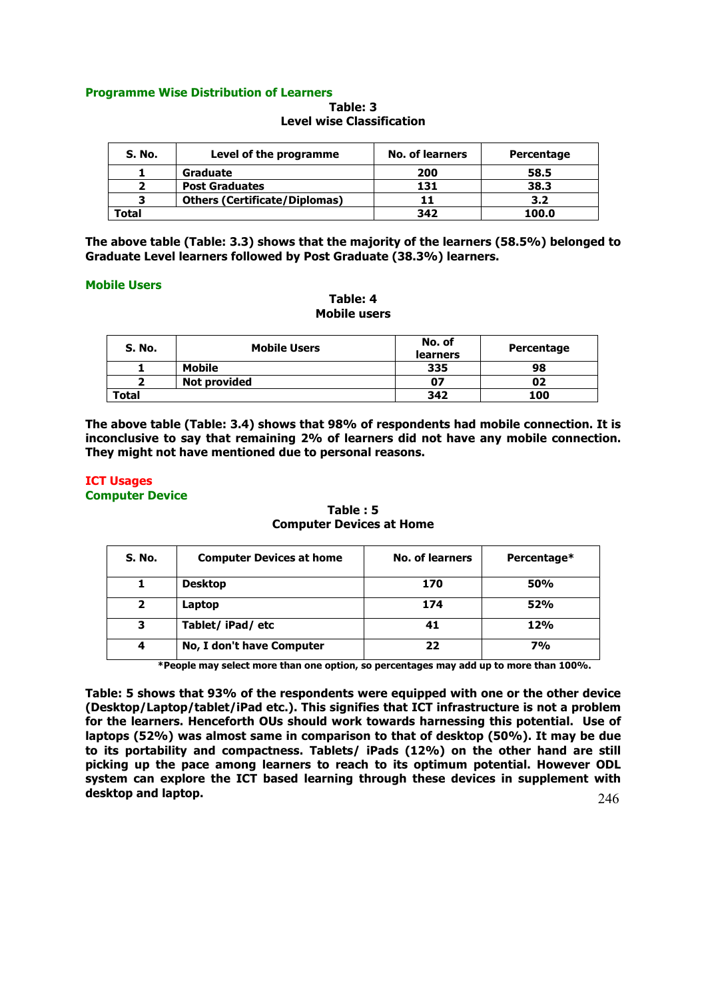## **Programme Wise Distribution of Learners**

| Table: 3                         |
|----------------------------------|
| <b>Level wise Classification</b> |

| S. No. | Level of the programme               | No. of learners | Percentage |
|--------|--------------------------------------|-----------------|------------|
|        | Graduate                             | 200             | 58.5       |
|        | <b>Post Graduates</b>                | 131             | 38.3       |
|        | <b>Others (Certificate/Diplomas)</b> |                 | 3.2        |
| Total  |                                      | 342             | 100.0      |

**The above table (Table: 3.3) shows that the majority of the learners (58.5%) belonged to Graduate Level learners followed by Post Graduate (38.3%) learners.** 

## **Mobile Users**

## **Table: 4 Mobile users**

| S. No.       | <b>Mobile Users</b> | No. of<br><b>learners</b> | Percentage |
|--------------|---------------------|---------------------------|------------|
|              | <b>Mobile</b>       | 335                       | 98         |
|              | Not provided        | 07                        | 02         |
| <b>Total</b> |                     | 342                       | 100        |

**The above table (Table: 3.4) shows that 98% of respondents had mobile connection. It is inconclusive to say that remaining 2% of learners did not have any mobile connection. They might not have mentioned due to personal reasons.**

## **ICT Usages Computer Device**

**Table : 5 Computer Devices at Home**

| S. No.         | <b>Computer Devices at home</b> | No. of learners | Percentage* |
|----------------|---------------------------------|-----------------|-------------|
| 1              | <b>Desktop</b>                  | 170             | <b>50%</b>  |
| $\overline{2}$ | Laptop                          | 174             | 52%         |
| 3              | Tablet/ iPad/ etc               | 41              | 12%         |
| 4              | No, I don't have Computer       | 22              | <b>7%</b>   |

**\*People may select more than one option, so percentages may add up to more than 100%.**

**Table: 5 shows that 93% of the respondents were equipped with one or the other device (Desktop/Laptop/tablet/iPad etc.). This signifies that ICT infrastructure is not a problem for the learners. Henceforth OUs should work towards harnessing this potential. Use of laptops (52%) was almost same in comparison to that of desktop (50%). It may be due to its portability and compactness. Tablets/ iPads (12%) on the other hand are still picking up the pace among learners to reach to its optimum potential. However ODL system can explore the ICT based learning through these devices in supplement with desktop and laptop.**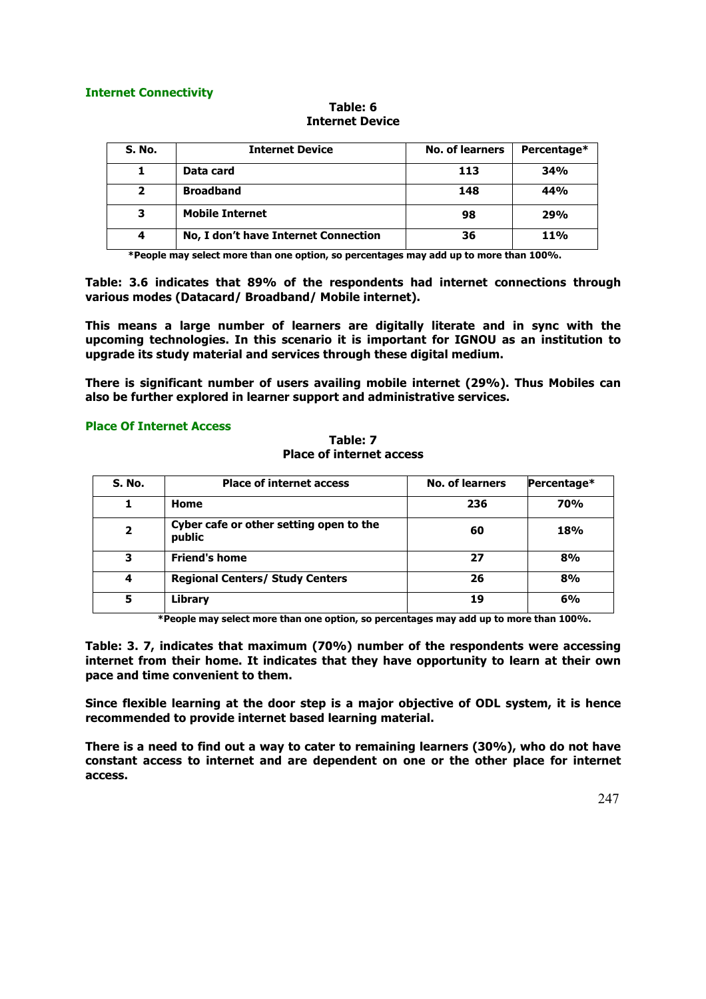## **Internet Connectivity**

## **Table: 6 Internet Device**

| <b>S. No.</b> | <b>Internet Device</b>               | <b>No. of learners</b> | Percentage* |
|---------------|--------------------------------------|------------------------|-------------|
|               | Data card                            | 113                    | 34%         |
| $\mathbf{2}$  | <b>Broadband</b>                     | 148                    | 44%         |
| з             | <b>Mobile Internet</b>               | 98                     | 29%         |
| 4             | No, I don't have Internet Connection | 36                     | 11%         |

**\*People may select more than one option, so percentages may add up to more than 100%.**

**Table: 3.6 indicates that 89% of the respondents had internet connections through various modes (Datacard/ Broadband/ Mobile internet).** 

**This means a large number of learners are digitally literate and in sync with the upcoming technologies. In this scenario it is important for IGNOU as an institution to upgrade its study material and services through these digital medium.** 

**There is significant number of users availing mobile internet (29%). Thus Mobiles can also be further explored in learner support and administrative services.**

## **Place Of Internet Access**

| Table: 7                        |  |
|---------------------------------|--|
| <b>Place of internet access</b> |  |

| S. No.         | <b>Place of internet access</b>                   | <b>No. of learners</b> | Percentage* |
|----------------|---------------------------------------------------|------------------------|-------------|
| 1              | Home                                              | 236                    | <b>70%</b>  |
| $\overline{2}$ | Cyber cafe or other setting open to the<br>public | 60                     | 18%         |
| 3              | <b>Friend's home</b>                              | 27                     | 8%          |
| 4              | <b>Regional Centers/ Study Centers</b>            | 26                     | 8%          |
| 5              | <b>Library</b>                                    | 19                     | 6%          |

**\*People may select more than one option, so percentages may add up to more than 100%.**

**Table: 3. 7, indicates that maximum (70%) number of the respondents were accessing internet from their home. It indicates that they have opportunity to learn at their own pace and time convenient to them.** 

**Since flexible learning at the door step is a major objective of ODL system, it is hence recommended to provide internet based learning material.** 

**There is a need to find out a way to cater to remaining learners (30%), who do not have constant access to internet and are dependent on one or the other place for internet access.**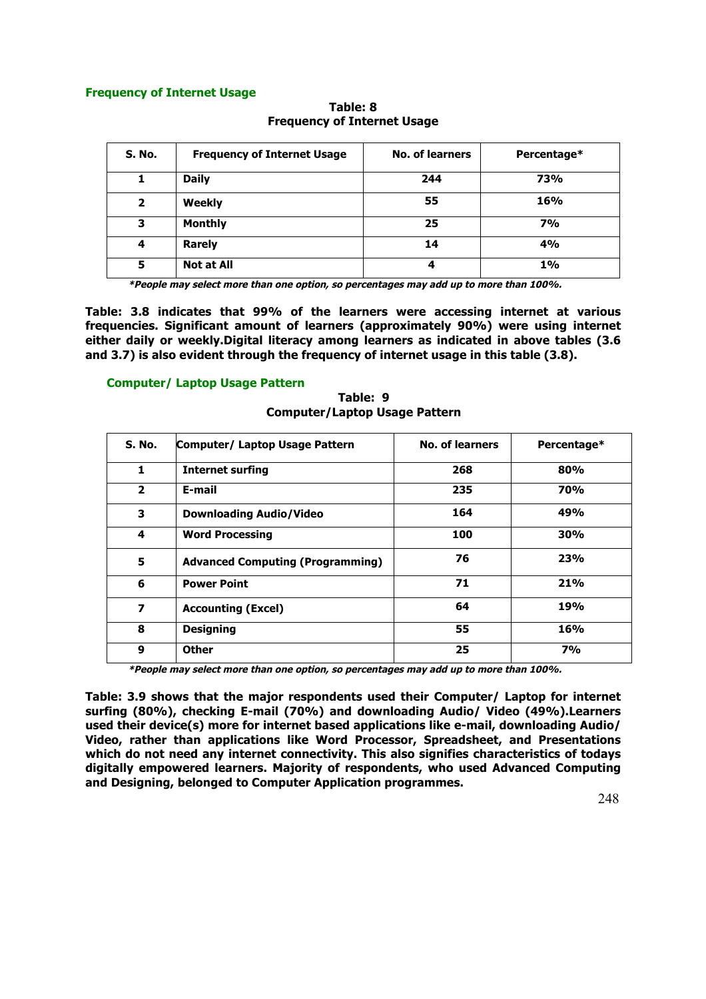## **Frequency of Internet Usage**

| S. No.         | <b>Frequency of Internet Usage</b> | <b>No. of learners</b> | Percentage* |
|----------------|------------------------------------|------------------------|-------------|
|                | <b>Daily</b>                       | 244                    | 73%         |
| $\overline{2}$ | <b>Weekly</b>                      | 55                     | 16%         |
| 3              | <b>Monthly</b>                     | 25                     | <b>7%</b>   |
| 4              | <b>Rarely</b>                      | 14                     | 4%          |
| 5              | <b>Not at All</b>                  | 4                      | 1%          |

**Table: 8 Frequency of Internet Usage**

**\*People may select more than one option, so percentages may add up to more than 100%.**

**Table: 3.8 indicates that 99% of the learners were accessing internet at various frequencies. Significant amount of learners (approximately 90%) were using internet either daily or weekly.Digital literacy among learners as indicated in above tables (3.6 and 3.7) is also evident through the frequency of internet usage in this table (3.8).** 

## **Computer/ Laptop Usage Pattern**

| S. No.                  | Computer/ Laptop Usage Pattern          | <b>No. of learners</b> | Percentage* |
|-------------------------|-----------------------------------------|------------------------|-------------|
| 1                       | <b>Internet surfing</b>                 | 268                    | 80%         |
| $\overline{2}$          | E-mail                                  | 235                    | <b>70%</b>  |
| 3                       | <b>Downloading Audio/Video</b>          | 164                    | 49%         |
| 4                       | <b>Word Processing</b>                  | 100                    | 30%         |
| 5                       | <b>Advanced Computing (Programming)</b> | 76                     | 23%         |
| 6                       | <b>Power Point</b>                      | 71                     | 21%         |
| $\overline{\mathbf{z}}$ | <b>Accounting (Excel)</b>               | 64                     | 19%         |
| 8                       | <b>Designing</b>                        | 55                     | 16%         |
| 9                       | <b>Other</b>                            | 25                     | 7%          |

**Table: 9 Computer/Laptop Usage Pattern**

**\*People may select more than one option, so percentages may add up to more than 100%.**

**Table: 3.9 shows that the major respondents used their Computer/ Laptop for internet surfing (80%), checking E-mail (70%) and downloading Audio/ Video (49%).Learners used their device(s) more for internet based applications like e-mail, downloading Audio/ Video, rather than applications like Word Processor, Spreadsheet, and Presentations which do not need any internet connectivity. This also signifies characteristics of todays digitally empowered learners. Majority of respondents, who used Advanced Computing and Designing, belonged to Computer Application programmes.**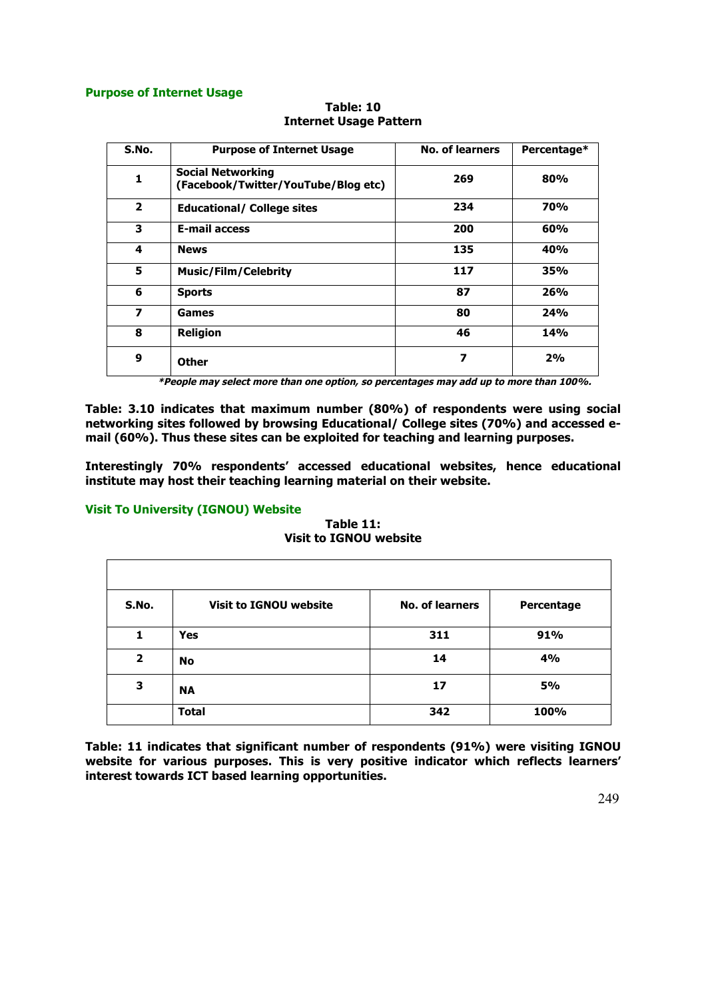## **Purpose of Internet Usage**

| S.No.                   | <b>Purpose of Internet Usage</b>                                | <b>No. of learners</b> | Percentage* |
|-------------------------|-----------------------------------------------------------------|------------------------|-------------|
| $\mathbf{1}$            | <b>Social Networking</b><br>(Facebook/Twitter/YouTube/Blog etc) | 269                    | 80%         |
| $\overline{2}$          | <b>Educational/ College sites</b>                               | 234                    | <b>70%</b>  |
| 3                       | <b>E-mail access</b>                                            | 200                    | 60%         |
| 4                       | <b>News</b>                                                     | 135                    | 40%         |
| 5                       | <b>Music/Film/Celebrity</b>                                     | 117                    | 35%         |
| 6                       | <b>Sports</b>                                                   | 87                     | 26%         |
| $\overline{\mathbf{z}}$ | Games                                                           | 80                     | 24%         |
| 8                       | <b>Religion</b>                                                 | 46                     | <b>14%</b>  |
| 9                       | Other                                                           | 7                      | 2%          |

**Table: 10 Internet Usage Pattern**

**\*People may select more than one option, so percentages may add up to more than 100%.**

**Table: 3.10 indicates that maximum number (80%) of respondents were using social networking sites followed by browsing Educational/ College sites (70%) and accessed email (60%). Thus these sites can be exploited for teaching and learning purposes.**

**Interestingly 70% respondents' accessed educational websites, hence educational institute may host their teaching learning material on their website.** 

# **Visit To University (IGNOU) Website**

 $\Gamma$ 

**Table 11: Visit to IGNOU website**

| S.No.          | <b>Visit to IGNOU website</b> | <b>No. of learners</b> | Percentage |
|----------------|-------------------------------|------------------------|------------|
| 1              | <b>Yes</b>                    | 311                    | 91%        |
| $\overline{2}$ | <b>No</b>                     | 14                     | 4%         |
| 3              | <b>NA</b>                     | 17                     | <b>5%</b>  |
|                | <b>Total</b>                  | 342                    | 100%       |

**Table: 11 indicates that significant number of respondents (91%) were visiting IGNOU website for various purposes. This is very positive indicator which reflects learners' interest towards ICT based learning opportunities.**

٦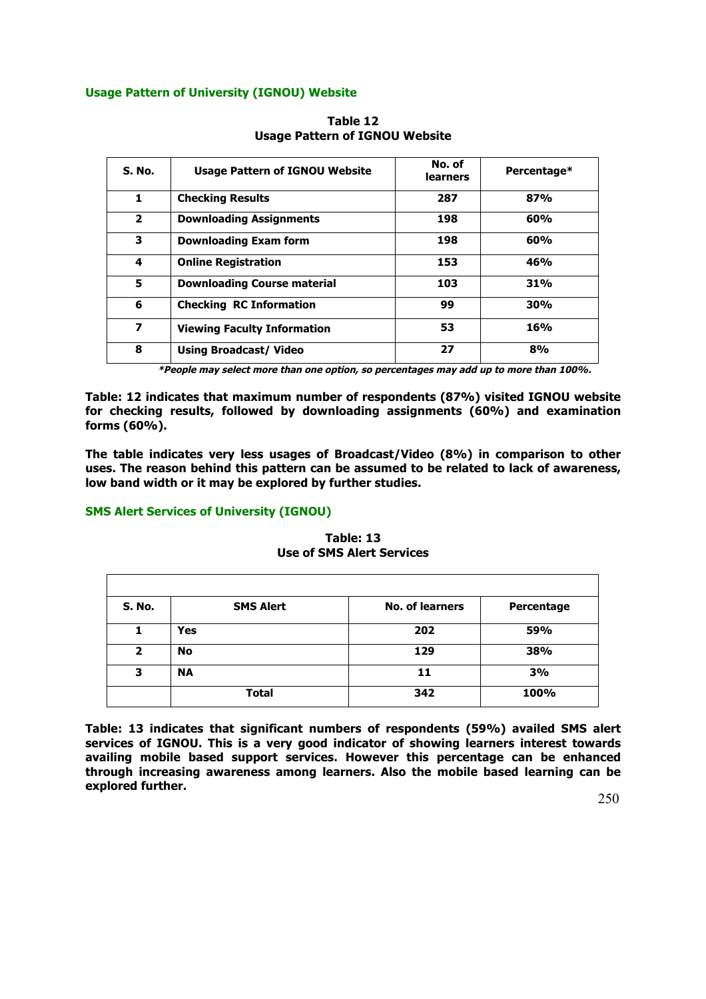# **Usage Pattern of University (IGNOU) Website**

| S. No.         | <b>Usage Pattern of IGNOU Website</b> | No. of<br><b>learners</b> | Percentage* |
|----------------|---------------------------------------|---------------------------|-------------|
| 1              | <b>Checking Results</b>               | 287                       | 87%         |
| $\overline{2}$ | <b>Downloading Assignments</b>        | 198                       | 60%         |
| 3              | <b>Downloading Exam form</b>          | 198                       | 60%         |
| 4              | <b>Online Registration</b>            | 153                       | 46%         |
| 5              | <b>Downloading Course material</b>    | 103                       | 31%         |
| 6              | <b>Checking RC Information</b>        | 99                        | 30%         |
| 7              | <b>Viewing Faculty Information</b>    | 53                        | 16%         |
| 8              | <b>Using Broadcast/ Video</b>         | 27                        | 8%          |

**Table 12 Usage Pattern of IGNOU Website**

**\*People may select more than one option, so percentages may add up to more than 100%.**

**Table: 12 indicates that maximum number of respondents (87%) visited IGNOU website for checking results, followed by downloading assignments (60%) and examination forms (60%).**

**The table indicates very less usages of Broadcast/Video (8%) in comparison to other uses. The reason behind this pattern can be assumed to be related to lack of awareness, low band width or it may be explored by further studies.**

# **SMS Alert Services of University (IGNOU)**

**Table: 13 Use of SMS Alert Services**

| <b>S. No.</b>  | <b>SMS Alert</b> | <b>No. of learners</b> | Percentage |
|----------------|------------------|------------------------|------------|
| 1              | <b>Yes</b>       | 202                    | 59%        |
| $\overline{2}$ | No               | 129                    | 38%        |
| 3              | <b>NA</b>        | 11                     | 3%         |
|                | <b>Total</b>     | 342                    | 100%       |

**Table: 13 indicates that significant numbers of respondents (59%) availed SMS alert services of IGNOU. This is a very good indicator of showing learners interest towards availing mobile based support services. However this percentage can be enhanced through increasing awareness among learners. Also the mobile based learning can be explored further.**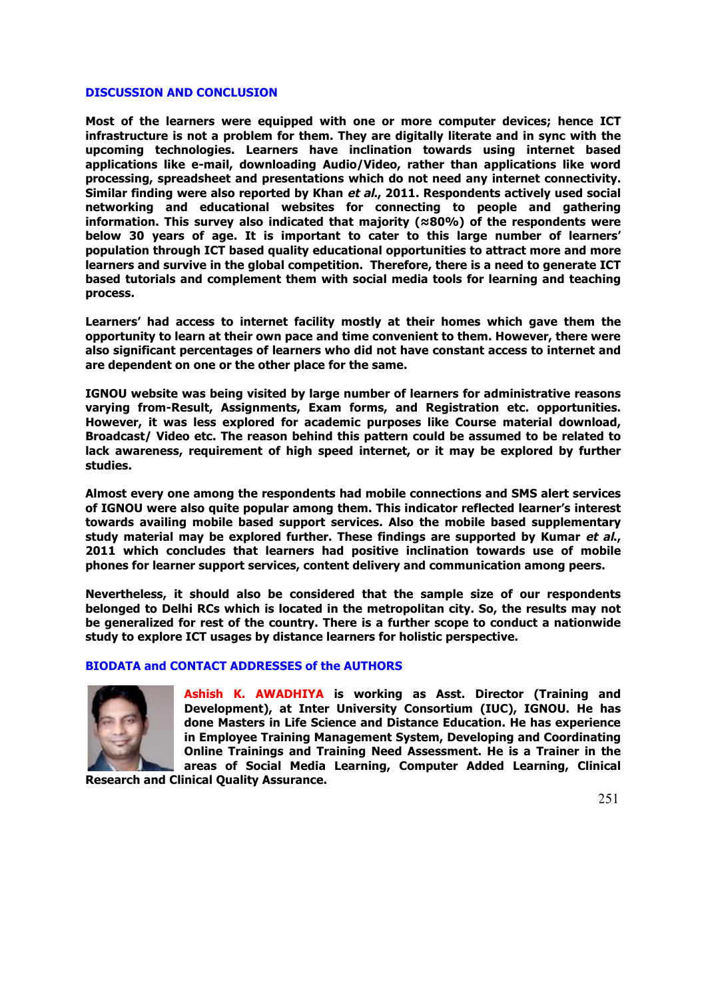#### **DISCUSSION AND CONCLUSION**

**Most of the learners were equipped with one or more computer devices; hence ICT infrastructure is not a problem for them. They are digitally literate and in sync with the upcoming technologies. Learners have inclination towards using internet based applications like e-mail, downloading Audio/Video, rather than applications like word processing, spreadsheet and presentations which do not need any internet connectivity. Similar finding were also reported by Khan et al., 2011. Respondents actively used social networking and educational websites for connecting to people and gathering information. This survey also indicated that majority (≈80%) of the respondents were below 30 years of age. It is important to cater to this large number of learners' population through ICT based quality educational opportunities to attract more and more learners and survive in the global competition. Therefore, there is a need to generate ICT based tutorials and complement them with social media tools for learning and teaching process.**

**Learners' had access to internet facility mostly at their homes which gave them the opportunity to learn at their own pace and time convenient to them. However, there were also significant percentages of learners who did not have constant access to internet and are dependent on one or the other place for the same.**

**IGNOU website was being visited by large number of learners for administrative reasons varying from-Result, Assignments, Exam forms, and Registration etc. opportunities. However, it was less explored for academic purposes like Course material download, Broadcast/ Video etc. The reason behind this pattern could be assumed to be related to lack awareness, requirement of high speed internet, or it may be explored by further studies.**

**Almost every one among the respondents had mobile connections and SMS alert services of IGNOU were also quite popular among them. This indicator reflected learner's interest towards availing mobile based support services. Also the mobile based supplementary study material may be explored further. These findings are supported by Kumar et al., 2011 which concludes that learners had positive inclination towards use of mobile phones for learner support services, content delivery and communication among peers.**

**Nevertheless, it should also be considered that the sample size of our respondents belonged to Delhi RCs which is located in the metropolitan city. So, the results may not be generalized for rest of the country. There is a further scope to conduct a nationwide study to explore ICT usages by distance learners for holistic perspective.**

## **BIODATA and CONTACT ADDRESSES of the AUTHORS**



**Ashish K. AWADHIYA is working as Asst. Director (Training and Development), at Inter University Consortium (IUC), IGNOU. He has done Masters in Life Science and Distance Education. He has experience in Employee Training Management System, Developing and Coordinating Online Trainings and Training Need Assessment. He is a Trainer in the areas of Social Media Learning, Computer Added Learning, Clinical Research and Clinical Quality Assurance.**

251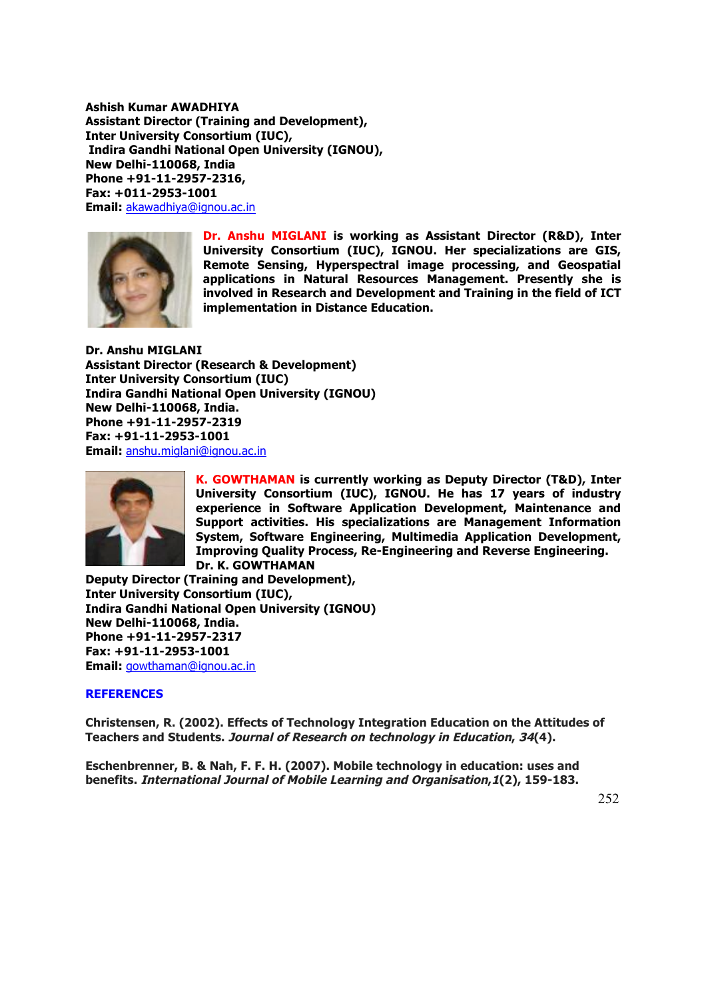**Ashish Kumar AWADHIYA Assistant Director (Training and Development), Inter University Consortium (IUC), Indira Gandhi National Open University (IGNOU), New Delhi-110068, India Phone +91-11-2957-2316, Fax: +011-2953-1001 Email:** akawadhiya@ignou.ac.in



**Dr. Anshu MIGLANI is working as Assistant Director (R&D), Inter University Consortium (IUC), IGNOU. Her specializations are GIS, Remote Sensing, Hyperspectral image processing, and Geospatial applications in Natural Resources Management. Presently she is involved in Research and Development and Training in the field of ICT implementation in Distance Education.**

**Dr. Anshu MIGLANI Assistant Director (Research & Development) Inter University Consortium (IUC) Indira Gandhi National Open University (IGNOU) New Delhi-110068, India. Phone +91-11-2957-2319 Fax: +91-11-2953-1001 Email:** anshu.miglani@ignou.ac.in



**K. GOWTHAMAN is currently working as Deputy Director (T&D), Inter University Consortium (IUC), IGNOU. He has 17 years of industry experience in Software Application Development, Maintenance and Support activities. His specializations are Management Information System, Software Engineering, Multimedia Application Development, Improving Quality Process, Re-Engineering and Reverse Engineering. Dr. K. GOWTHAMAN**

**Deputy Director (Training and Development), Inter University Consortium (IUC), Indira Gandhi National Open University (IGNOU) New Delhi-110068, India. Phone +91-11-2957-2317 Fax: +91-11-2953-1001 Email:** gowthaman@ignou.ac.in

# **REFERENCES**

**Christensen, R. (2002). Effects of Technology Integration Education on the Attitudes of Teachers and Students. Journal of Research on technology in Education, 34(4).**

**Eschenbrenner, B. & Nah, F. F. H. (2007). Mobile technology in education: uses and benefits. International Journal of Mobile Learning and Organisation,1(2), 159-183.**